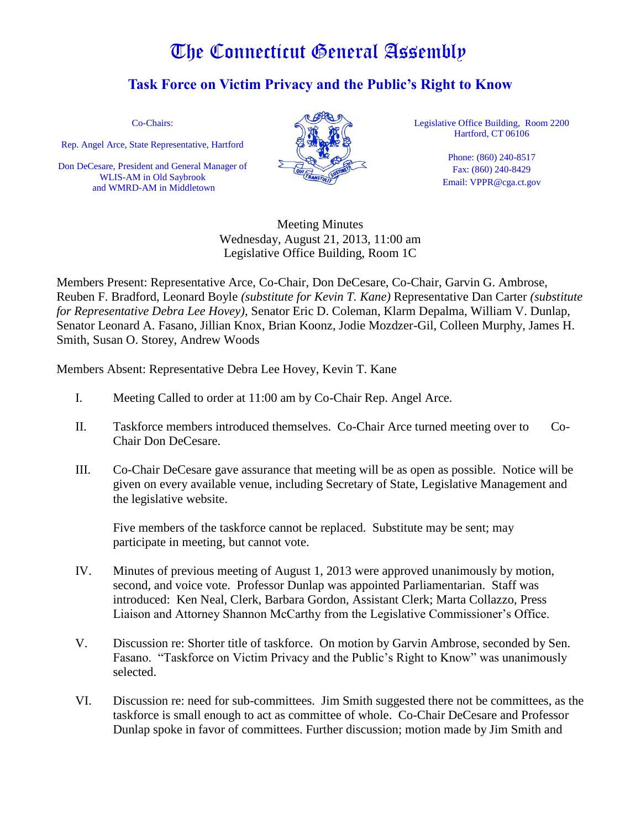## The Connecticut General Assembly

## **Task Force on Victim Privacy and the Public's Right to Know**

Co-Chairs:

Rep. Angel Arce, State Representative, Hartford

Don DeCesare, President and General Manager of WLIS-AM in Old Saybrook and WMRD-AM in Middletown



Legislative Office Building, Room 2200 Hartford, CT 06106

> Phone: (860) 240-8517 Fax: (860) 240-8429 Email: VPPR@cga.ct.gov

Meeting Minutes Wednesday, August 21, 2013, 11:00 am Legislative Office Building, Room 1C

Members Present: Representative Arce, Co-Chair, Don DeCesare, Co-Chair, Garvin G. Ambrose, Reuben F. Bradford, Leonard Boyle *(substitute for Kevin T. Kane)* Representative Dan Carter *(substitute for Representative Debra Lee Hovey)*, Senator Eric D. Coleman, Klarm Depalma, William V. Dunlap, Senator Leonard A. Fasano, Jillian Knox, Brian Koonz, Jodie Mozdzer-Gil, Colleen Murphy, James H. Smith, Susan O. Storey, Andrew Woods

Members Absent: Representative Debra Lee Hovey, Kevin T. Kane

- I. Meeting Called to order at 11:00 am by Co-Chair Rep. Angel Arce.
- II. Taskforce members introduced themselves. Co-Chair Arce turned meeting over to Co-Chair Don DeCesare.
- III. Co-Chair DeCesare gave assurance that meeting will be as open as possible. Notice will be given on every available venue, including Secretary of State, Legislative Management and the legislative website.

 Five members of the taskforce cannot be replaced. Substitute may be sent; may participate in meeting, but cannot vote.

- IV. Minutes of previous meeting of August 1, 2013 were approved unanimously by motion, second, and voice vote. Professor Dunlap was appointed Parliamentarian. Staff was introduced: Ken Neal, Clerk, Barbara Gordon, Assistant Clerk; Marta Collazzo, Press Liaison and Attorney Shannon McCarthy from the Legislative Commissioner's Office.
- V. Discussion re: Shorter title of taskforce. On motion by Garvin Ambrose, seconded by Sen. Fasano. "Taskforce on Victim Privacy and the Public's Right to Know" was unanimously selected.
- VI. Discussion re: need for sub-committees. Jim Smith suggested there not be committees, as the taskforce is small enough to act as committee of whole. Co-Chair DeCesare and Professor Dunlap spoke in favor of committees. Further discussion; motion made by Jim Smith and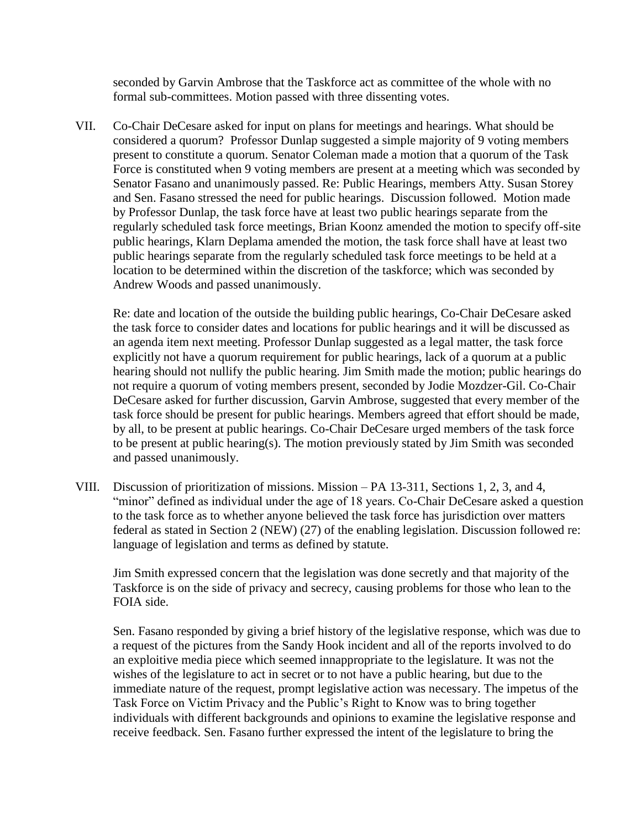seconded by Garvin Ambrose that the Taskforce act as committee of the whole with no formal sub-committees. Motion passed with three dissenting votes.

VII. Co-Chair DeCesare asked for input on plans for meetings and hearings. What should be considered a quorum? Professor Dunlap suggested a simple majority of 9 voting members present to constitute a quorum. Senator Coleman made a motion that a quorum of the Task Force is constituted when 9 voting members are present at a meeting which was seconded by Senator Fasano and unanimously passed. Re: Public Hearings, members Atty. Susan Storey and Sen. Fasano stressed the need for public hearings. Discussion followed. Motion made by Professor Dunlap, the task force have at least two public hearings separate from the regularly scheduled task force meetings, Brian Koonz amended the motion to specify off-site public hearings, Klarn Deplama amended the motion, the task force shall have at least two public hearings separate from the regularly scheduled task force meetings to be held at a location to be determined within the discretion of the taskforce; which was seconded by Andrew Woods and passed unanimously.

Re: date and location of the outside the building public hearings, Co-Chair DeCesare asked the task force to consider dates and locations for public hearings and it will be discussed as an agenda item next meeting. Professor Dunlap suggested as a legal matter, the task force explicitly not have a quorum requirement for public hearings, lack of a quorum at a public hearing should not nullify the public hearing. Jim Smith made the motion; public hearings do not require a quorum of voting members present, seconded by Jodie Mozdzer-Gil. Co-Chair DeCesare asked for further discussion, Garvin Ambrose, suggested that every member of the task force should be present for public hearings. Members agreed that effort should be made, by all, to be present at public hearings. Co-Chair DeCesare urged members of the task force to be present at public hearing(s). The motion previously stated by Jim Smith was seconded and passed unanimously.

VIII. Discussion of prioritization of missions. Mission – PA 13-311, Sections 1, 2, 3, and 4, "minor" defined as individual under the age of 18 years. Co-Chair DeCesare asked a question to the task force as to whether anyone believed the task force has jurisdiction over matters federal as stated in Section 2 (NEW) (27) of the enabling legislation. Discussion followed re: language of legislation and terms as defined by statute.

Jim Smith expressed concern that the legislation was done secretly and that majority of the Taskforce is on the side of privacy and secrecy, causing problems for those who lean to the FOIA side.

Sen. Fasano responded by giving a brief history of the legislative response, which was due to a request of the pictures from the Sandy Hook incident and all of the reports involved to do an exploitive media piece which seemed innappropriate to the legislature. It was not the wishes of the legislature to act in secret or to not have a public hearing, but due to the immediate nature of the request, prompt legislative action was necessary. The impetus of the Task Force on Victim Privacy and the Public's Right to Know was to bring together individuals with different backgrounds and opinions to examine the legislative response and receive feedback. Sen. Fasano further expressed the intent of the legislature to bring the